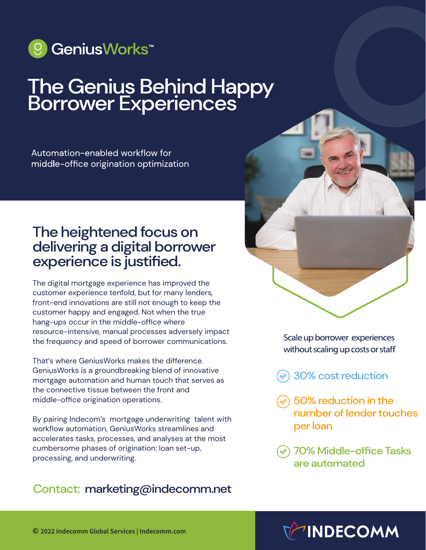

# The Genius Behind Happy<br>Borrower Experiences

Automation-enabled workflow for middle-office origination optimization

## The heightened focus on delivering a digital borrower experience is justified.

The digital mortgage experience has improved the customer experience tenfold, but for many lenders, front-end innovations are still not enough to keep the customer happy and engaged. Not when the true hang-ups occur in the middle-office where resource-intensive, manual processes adversely impact the frequency and speed of borrower communications.

That's where GeniusWorks makes the difference. GeniusWorks is a groundbreaking blend of innovative mortgage automation and human touch that serves as the connective tissue between the front and middle-office origination operations.

By pairing Indecom's mortgage underwriting talent with workflow automation, GeniusWorks streamlines and accelerates tasks, processes, and analyses at the most cumbersome phases of origination: loan set-up, processing, and underwriting.

#### Contact: marketing@indecomm.net



Scale up borrower experiences without scaling up costs or staff

- 30% cost reduction
- $\odot$  50% reduction in the number of lender touches per loan
- 70% Middle-office Tasks are automated